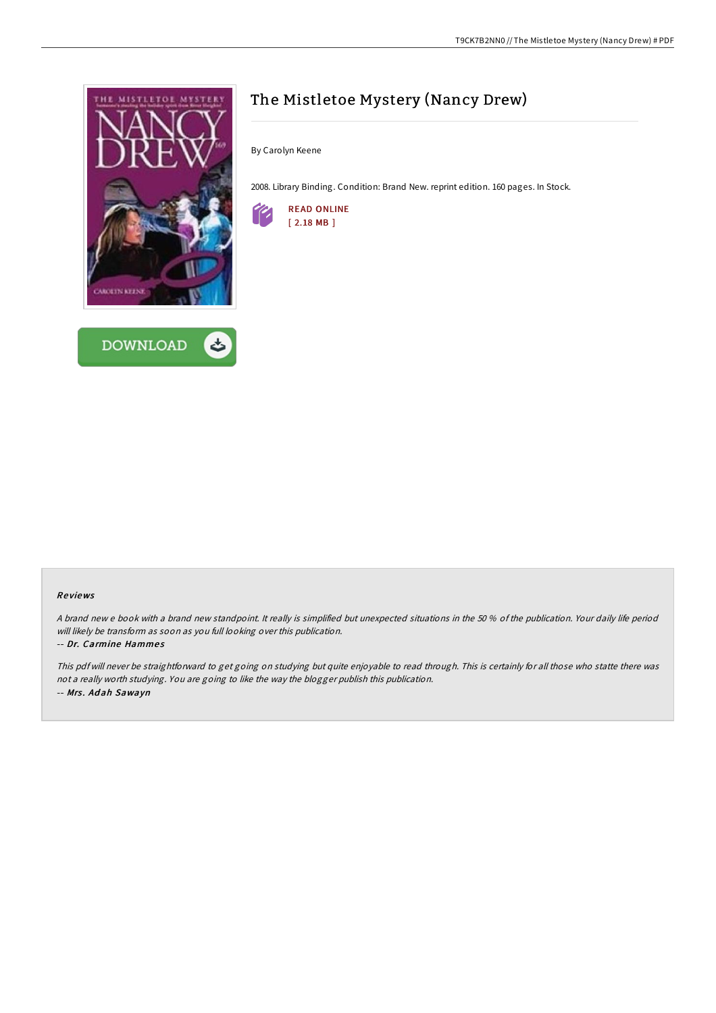



# The Mistletoe Mystery (Nancy Drew)

By Carolyn Keene

2008. Library Binding. Condition: Brand New. reprint edition. 160 pages. In Stock.



### Re views

A brand new <sup>e</sup> book with <sup>a</sup> brand new standpoint. It really is simplified but unexpected situations in the 50 % of the publication. Your daily life period will likely be transform as soon as you full looking over this publication.

#### -- Dr. Carmine Hammes

This pdf will never be straightforward to get going on studying but quite enjoyable to read through. This is certainly for all those who statte there was not <sup>a</sup> really worth studying. You are going to like the way the blogger publish this publication. -- Mrs. Adah Sawayn